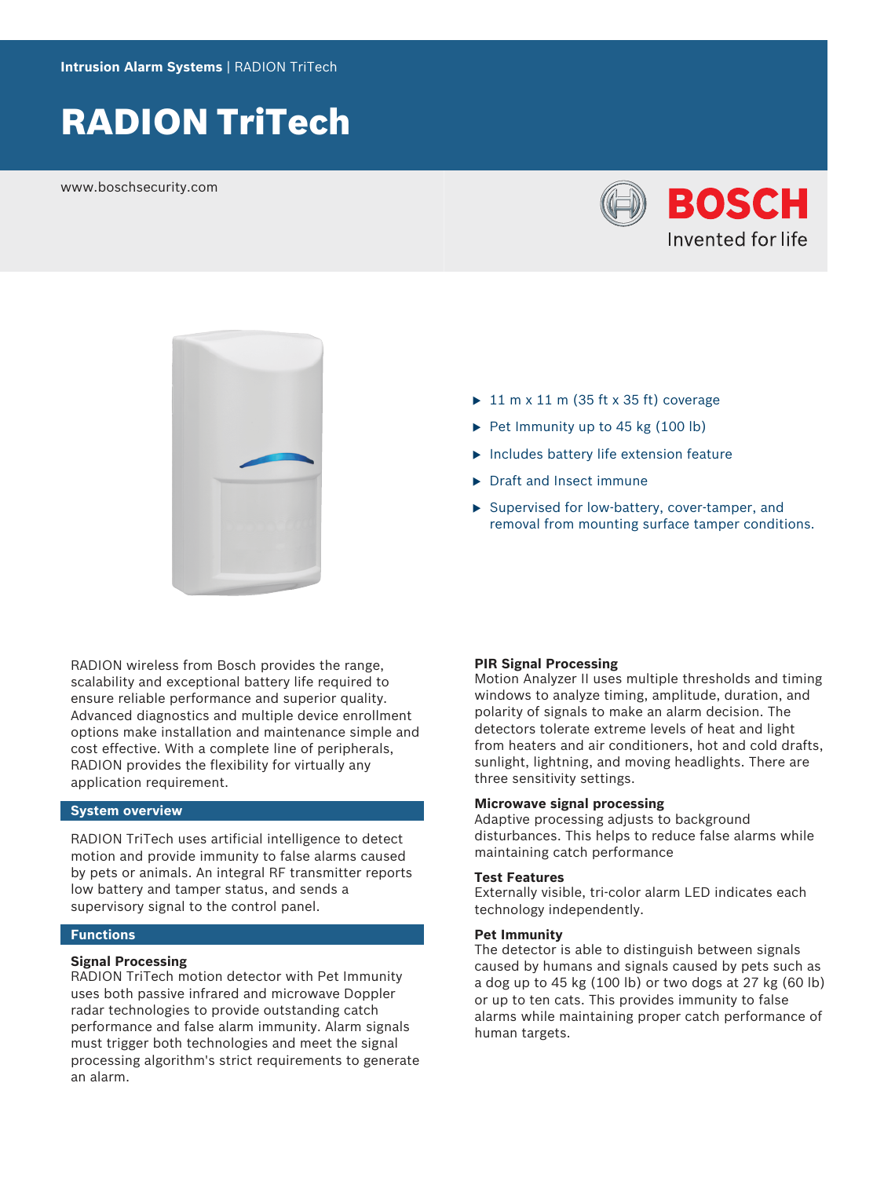# RADION TriTech

www.boschsecurity.com





- $\blacktriangleright$  11 m x 11 m (35 ft x 35 ft) coverage
- $\triangleright$  Pet Immunity up to 45 kg (100 lb)
- $\blacktriangleright$  Includes battery life extension feature
- $\triangleright$  Draft and Insect immune
- $\blacktriangleright$  Supervised for low-battery, cover-tamper, and removal from mounting surface tamper conditions.

RADION wireless from Bosch provides the range, scalability and exceptional battery life required to ensure reliable performance and superior quality. Advanced diagnostics and multiple device enrollment options make installation and maintenance simple and cost effective. With a complete line of peripherals, RADION provides the flexibility for virtually any application requirement.

# **System overview**

RADION TriTech uses artificial intelligence to detect motion and provide immunity to false alarms caused by pets or animals. An integral RF transmitter reports low battery and tamper status, and sends a supervisory signal to the control panel.

# **Functions**

#### **Signal Processing**

RADION TriTech motion detector with Pet Immunity uses both passive infrared and microwave Doppler radar technologies to provide outstanding catch performance and false alarm immunity. Alarm signals must trigger both technologies and meet the signal processing algorithm's strict requirements to generate an alarm.

# **PIR Signal Processing**

Motion Analyzer II uses multiple thresholds and timing windows to analyze timing, amplitude, duration, and polarity of signals to make an alarm decision. The detectors tolerate extreme levels of heat and light from heaters and air conditioners, hot and cold drafts, sunlight, lightning, and moving headlights. There are three sensitivity settings.

#### **Microwave signal processing**

Adaptive processing adjusts to background disturbances. This helps to reduce false alarms while maintaining catch performance

# **Test Features**

Externally visible, tri-color alarm LED indicates each technology independently.

# **Pet Immunity**

The detector is able to distinguish between signals caused by humans and signals caused by pets such as a dog up to 45 kg (100 lb) or two dogs at 27 kg (60 lb) or up to ten cats. This provides immunity to false alarms while maintaining proper catch performance of human targets.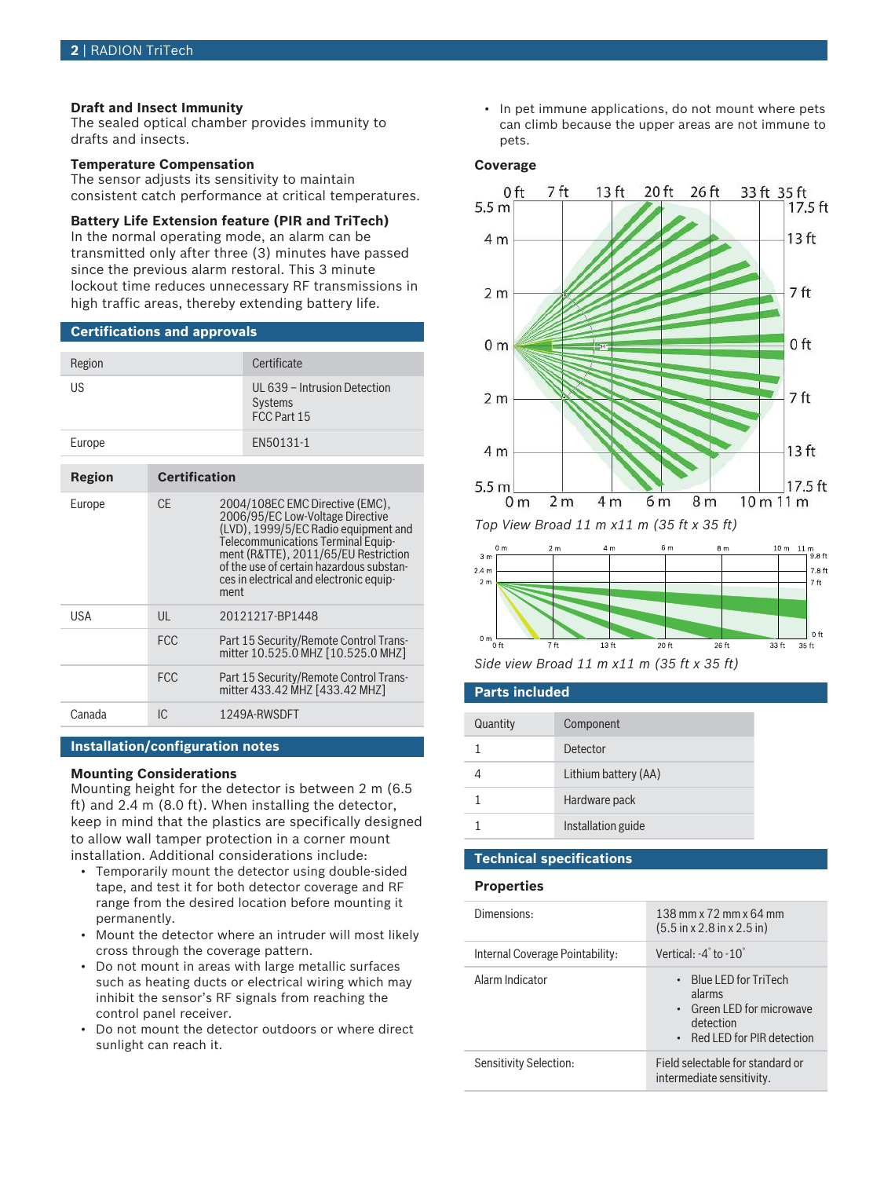# **Draft and Insect Immunity**

The sealed optical chamber provides immunity to drafts and insects.

# **Temperature Compensation**

The sensor adjusts its sensitivity to maintain consistent catch performance at critical temperatures.

#### **Battery Life Extension feature (PIR and TriTech)**

In the normal operating mode, an alarm can be transmitted only after three (3) minutes have passed since the previous alarm restoral. This 3 minute lockout time reduces unnecessary RF transmissions in high traffic areas, thereby extending battery life.

# **Certifications and approvals**

| Region |                      | Certificate                                                                                                                                                                                                                                                                              |
|--------|----------------------|------------------------------------------------------------------------------------------------------------------------------------------------------------------------------------------------------------------------------------------------------------------------------------------|
| US     |                      | UL 639 - Intrusion Detection<br><b>Systems</b><br>FCC Part 15                                                                                                                                                                                                                            |
| Europe |                      | EN50131-1                                                                                                                                                                                                                                                                                |
|        |                      |                                                                                                                                                                                                                                                                                          |
| Region | <b>Certification</b> |                                                                                                                                                                                                                                                                                          |
| Europe | CF.                  | 2004/108EC EMC Directive (EMC).<br>2006/95/EC Low-Voltage Directive<br>(LVD), 1999/5/EC Radio equipment and<br>Telecommunications Terminal Equip-<br>ment (R&TTE), 2011/65/EU Restriction<br>of the use of certain hazardous substan-<br>ces in electrical and electronic equip-<br>ment |

| USA    | UL         | 20121217-BP1448                                                              |
|--------|------------|------------------------------------------------------------------------------|
|        | <b>FCC</b> | Part 15 Security/Remote Control Trans-<br>mitter 10.525.0 MHZ [10.525.0 MHZ] |
|        | FCC.       | Part 15 Security/Remote Control Trans-<br>mitter 433.42 MHZ [433.42 MHZ]     |
| Canada | IC.        | 1249A-RWSDFT                                                                 |

# **Installation/configuration notes**

#### **Mounting Considerations**

Mounting height for the detector is between 2 m (6.5 ft) and 2.4 m (8.0 ft). When installing the detector, keep in mind that the plastics are specifically designed to allow wall tamper protection in a corner mount installation. Additional considerations include:

- Temporarily mount the detector using double-sided tape, and test it for both detector coverage and RF range from the desired location before mounting it permanently.
- Mount the detector where an intruder will most likely cross through the coverage pattern.
- Do not mount in areas with large metallic surfaces such as heating ducts or electrical wiring which may inhibit the sensor's RF signals from reaching the control panel receiver.
- Do not mount the detector outdoors or where direct sunlight can reach it.

• In pet immune applications, do not mount where pets can climb because the upper areas are not immune to pets.

#### **Coverage**



*Top View Broad 11 m x11 m (35 ft x 35 ft)*





# **Parts included**

| Quantity | Component            |
|----------|----------------------|
|          | Detector             |
|          | Lithium battery (AA) |
|          | Hardware pack        |
|          | Installation guide   |

# **Technical specifications**

#### **Properties**

| Dimensions:                     | 138 mm x $72$ mm x $64$ mm<br>$(5.5 \text{ in x } 2.8 \text{ in x } 2.5 \text{ in})$                            |
|---------------------------------|-----------------------------------------------------------------------------------------------------------------|
| Internal Coverage Pointability: | Vertical: $-4^\circ$ to $-10^\circ$                                                                             |
| Alarm Indicator                 | $\cdot$ Blue LED for TriTech<br>alarms<br>• Green LED for microwave<br>detection<br>• Red LED for PIR detection |
| Sensitivity Selection:          | Field selectable for standard or<br>intermediate sensitivity.                                                   |